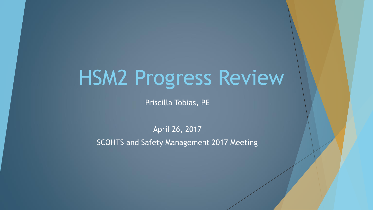# HSM2 Progress Review

Priscilla Tobias, PE

April 26, 2017

SCOHTS and Safety Management 2017 Meeting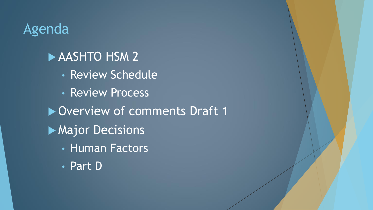# Agenda

# **AASHTO HSM 2**

- Review Schedule
- Review Process

▶ Overview of comments Draft 1

- **Major Decisions** 
	- Human Factors
	- Part D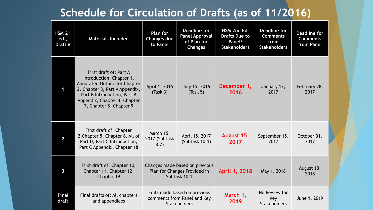#### **Schedule for Circulation of Drafts (as of 11/2016)**

| HSM 2nd<br>ed.,<br>Draft # | <b>Materials Included</b>                                                                                                                                                                                              | <b>Plan for</b><br><b>Changes due</b><br>to Panel                                  | <b>Deadline for</b><br><b>Panel Approval</b><br>of Plan for<br><b>Changes</b> | HSM 2nd Ed.<br><b>Drafts Due to</b><br>Panel/<br><b>Stakeholders</b> | <b>Deadline for</b><br><b>Comments</b><br>from<br><b>Stakeholders</b> | <b>Deadline for</b><br><b>Comments</b><br>from Panel |
|----------------------------|------------------------------------------------------------------------------------------------------------------------------------------------------------------------------------------------------------------------|------------------------------------------------------------------------------------|-------------------------------------------------------------------------------|----------------------------------------------------------------------|-----------------------------------------------------------------------|------------------------------------------------------|
|                            | First draft of: Part A<br>Introduction, Chapter 1,<br><b>Annotated Outline for Chapter</b><br>2, Chapter 3, Part A Appendix,<br>Part B Introduction, Part B<br>Appendix, Chapter 4, Chapter<br>7, Chapter 8, Chapter 9 | April 1, 2016<br>(Task 3)                                                          | July 15, 2016<br>(Task 5)                                                     | December 1,<br>2016                                                  | January 17,<br>2017                                                   | February 28,<br>2017                                 |
| $\overline{2}$             | First draft of: Chapter<br>2, Chapter 5, Chapter 6, All of<br>Part D, Part C Introduction,<br>Part C Appendix, Chapter 18                                                                                              | March 15,<br>2017 (Subtask<br>8.2)                                                 | April 15, 2017<br>(Subtask 10.1)                                              | August 15,<br>2017                                                   | September 15,<br>2017                                                 | October 31,<br>2017                                  |
| 3                          | First draft of: Chapter 10,<br>Chapter 11, Chapter 12,<br>Chapter 19                                                                                                                                                   | Changes made based on previous<br>Plan for Changes Provided in<br>Subtask 10.1     |                                                                               | April 1, 2018                                                        | May 1, 2018                                                           | August 13,<br>2018                                   |
| <b>Final</b><br>draft      | Final drafts of: All chapters<br>and appendices                                                                                                                                                                        | Edits made based on previous<br>comments from Panel and Key<br><b>Stakeholders</b> |                                                                               | March 1,<br>2019                                                     | No Review for<br>Key<br><b>Stakeholders</b>                           | June 1, 2019                                         |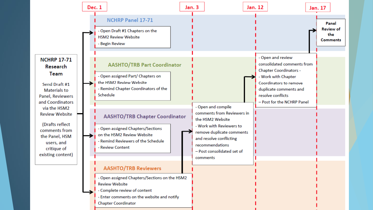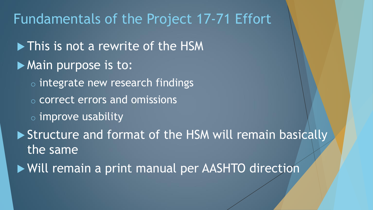# Fundamentals of the Project 17-71 Effort

lacktrite of the HSM **Main purpose is to:**  $\circ$  integrate new research findings o correct errors and omissions  $\circ$  improve usability ▶ Structure and format of the HSM will remain basically the same Will remain a print manual per AASHTO direction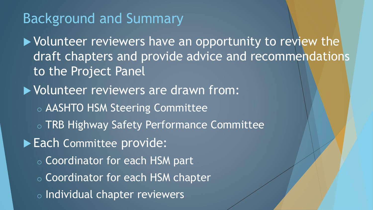# Background and Summary

▶ Volunteer reviewers have an opportunity to review the draft chapters and provide advice and recommendations to the Project Panel

- Volunteer reviewers are drawn from:
	- o AASHTO HSM Steering Committee
	- o TRB Highway Safety Performance Committee
- Each Committee provide:
	- o Coordinator for each HSM part
	- o Coordinator for each HSM chapter
	- o Individual chapter reviewers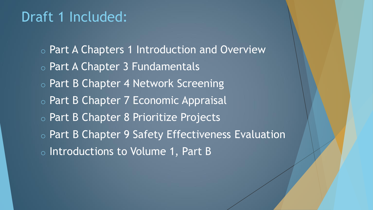# Draft 1 Included:

o Part A Chapters 1 Introduction and Overview o Part A Chapter 3 Fundamentals o Part B Chapter 4 Network Screening o Part B Chapter 7 Economic Appraisal o Part B Chapter 8 Prioritize Projects o Part B Chapter 9 Safety Effectiveness Evaluation o Introductions to Volume 1, Part B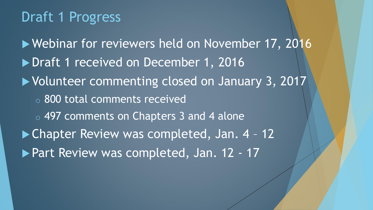# Draft 1 Progress

▶ Webinar for reviewers held on November 17, 2016 ▶ Draft 1 received on December 1, 2016 ▶ Volunteer commenting closed on January 3, 2017 o 800 total comments received o 497 comments on Chapters 3 and 4 alone ▶ Chapter Review was completed, Jan. 4 - 12 ▶ Part Review was completed, Jan. 12 - 17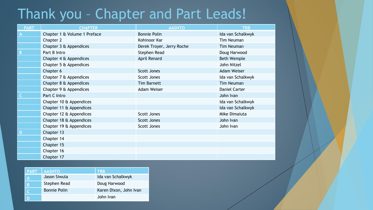# Thank you – Chapter and Part Leads!

| <b>PART</b> | <b>CHAPTER</b>               | <b>AASHTO</b>             | <b>TRB</b>         |
|-------------|------------------------------|---------------------------|--------------------|
|             | Chapter 1 & Volume 1 Preface | <b>Bonnie Polin</b>       | Ida van Schalkwyk  |
|             | Chapter 2                    | Kohinoor Kar              | Tim Neuman         |
|             | Chapter 3 & Appendices       | Derek Troyer, Jerry Roche | <b>Tim Neuman</b>  |
| B           | Part B Intro                 | Stephen Read              | Doug Harwood       |
|             | Chapter 4 & Appendices       | April Renard              | <b>Beth Wemple</b> |
|             | Chapter 5 & Appendices       |                           | John Nitzel        |
|             | Chapter 6                    | <b>Scott Jones</b>        | <b>Adam Weiser</b> |
|             | Chapter 7 & Appendices       | Scott Jones               | Ida van Schalkwyk  |
|             | Chapter 8 & Appendices       | <b>Tim Barnett</b>        | <b>Tim Neuman</b>  |
|             | Chapter 9 & Appendices       | <b>Adam Weiser</b>        | Daniel Carter      |
|             | Part C Intro                 |                           | John Ivan          |
|             | Chapter 10 & Appendices      |                           | Ida van Schalkwyk  |
|             | Chapter 11 & Appendices      |                           | Ida van Schalkwyk  |
|             | Chapter 12 & Appendices      | Scott Jones               | Mike Dimaiuta      |
|             | Chapter 18 & Appendices      | Scott Jones               | John Ivan          |
|             | Chapter 19 & Appendices      | Scott Jones               | John Ivan          |
| D           | Chapter 13                   |                           |                    |
|             | Chapter 14                   |                           |                    |
|             | Chapter 15                   |                           |                    |
|             | Chapter 16                   |                           |                    |
|             | Chapter 17                   |                           |                    |

| <b>PART</b> | <b>AASHTO</b>       | <b>TRB</b>             |
|-------------|---------------------|------------------------|
| A           | Jason Siwula        | Ida van Schalkwyk      |
| B           | Stephen Read        | Doug Harwood           |
|             | <b>Bonnie Polin</b> | Karen Dixon, John Ivan |
|             |                     | John Ivan              |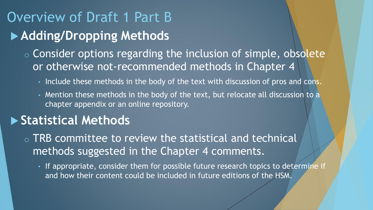# Overview of Draft 1 Part B **Adding/Dropping Methods**

 $\circ$  Consider options regarding the inclusion of simple, obsolete or otherwise not-recommended methods in Chapter 4

- Include these methods in the body of the text with discussion of pros and cons.
- Mention these methods in the body of the text, but relocate all discussion to a chapter appendix or an online repository.

#### **Statistical Methods**

o TRB committee to review the statistical and technical methods suggested in the Chapter 4 comments.

• If appropriate, consider them for possible future research topics to determine if and how their content could be included in future editions of the HSM.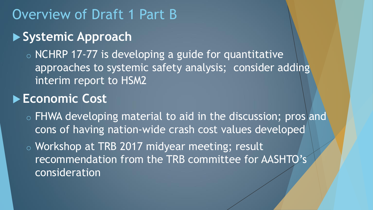## Overview of Draft 1 Part B

#### **Systemic Approach**

 $\circ$  NCHRP 17-77 is developing a guide for quantitative approaches to systemic safety analysis; consider adding interim report to HSM2

#### **Economic Cost**

o FHWA developing material to aid in the discussion; pros and cons of having nation-wide crash cost values developed

o Workshop at TRB 2017 midyear meeting; result recommendation from the TRB committee for AASHTO's consideration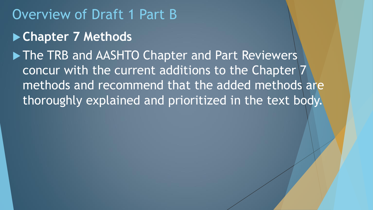## Overview of Draft 1 Part B

#### **Chapter 7 Methods**

▶ The TRB and AASHTO Chapter and Part Reviewers concur with the current additions to the Chapter 7 methods and recommend that the added methods are thoroughly explained and prioritized in the text body.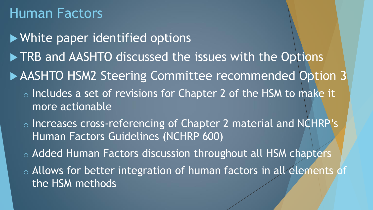# Human Factors

 White paper identified options ▶ TRB and AASHTO discussed the issues with the Options ▶ AASHTO HSM2 Steering Committee recommended Option 3 o Includes a set of revisions for Chapter 2 of the HSM to make it more actionable o Increases cross-referencing of Chapter 2 material and NCHRP's Human Factors Guidelines (NCHRP 600) o Added Human Factors discussion throughout all HSM chapters o Allows for better integration of human factors in all elements of the HSM methods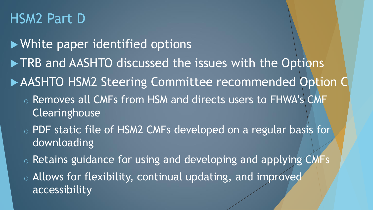# HSM2 Part D

 White paper identified options ▶ TRB and AASHTO discussed the issues with the Options AASHTO HSM2 Steering Committee recommended Option C o Removes all CMFs from HSM and directs users to FHWA's CMF **Clearinghouse** o PDF static file of HSM2 CMFs developed on a regular basis for downloading

- $\circ$  Retains guidance for using and developing and applying CMFs
- o Allows for flexibility, continual updating, and improved accessibility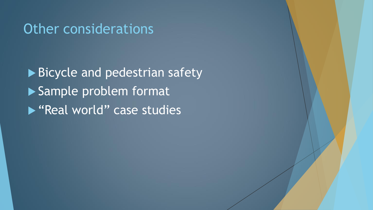### Other considerations

Bicycle and pedestrian safety Sample problem format ▶ "Real world" case studies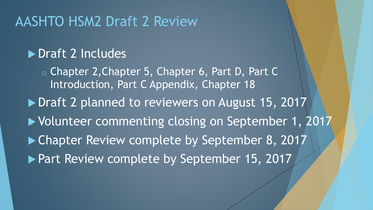## AASHTO HSM2 Draft 2 Review

#### Draft 2 Includes

o Chapter 2,Chapter 5, Chapter 6, Part D, Part C Introduction, Part C Appendix, Chapter 18

▶ Draft 2 planned to reviewers on August 15, 2017

▶ Volunteer commenting closing on September 1, 2017

▶ Chapter Review complete by September 8, 2017

▶ Part Review complete by September 15, 2017